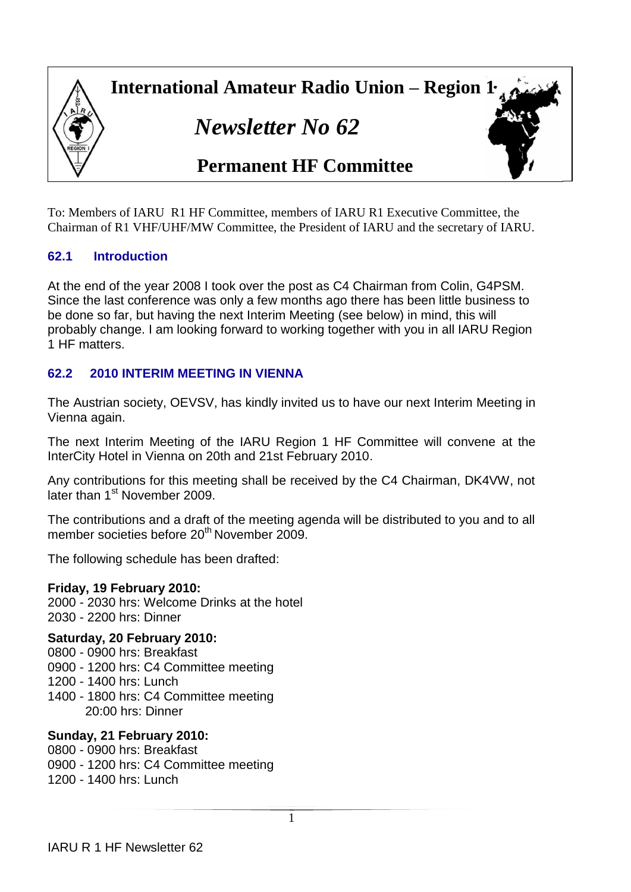

*Newsletter No 62*



# **Permanent HF Committee**

To: Members of IARU R1 HF Committee, members of IARU R1 Executive Committee, the Chairman of R1 VHF/UHF/MW Committee, the President of IARU and the secretary of IARU.

# **62.1 Introduction**

At the end of the year 2008 I took over the post as C4 Chairman from Colin, G4PSM. Since the last conference was only a few months ago there has been little business to be done so far, but having the next Interim Meeting (see below) in mind, this will probably change. I am looking forward to working together with you in all IARU Region 1 HF matters.

# **62.2 2010 INTERIM MEETING IN VIENNA**

The Austrian society, OEVSV, has kindly invited us to have our next Interim Meeting in Vienna again.

The next Interim Meeting of the IARU Region 1 HF Committee will convene at the InterCity Hotel in Vienna on 20th and 21st February 2010.

Any contributions for this meeting shall be received by the C4 Chairman, DK4VW, not later than 1<sup>st</sup> November 2009.

The contributions and a draft of the meeting agenda will be distributed to you and to all member societies before 20<sup>th</sup> November 2009.

The following schedule has been drafted:

## **Friday, 19 February 2010:**

2000 - 2030 hrs: Welcome Drinks at the hotel 2030 - 2200 hrs: Dinner

#### **Saturday, 20 February 2010:**

0800 - 0900 hrs: Breakfast

0900 - 1200 hrs: C4 Committee meeting

1200 - 1400 hrs: Lunch

1400 - 1800 hrs: C4 Committee meeting 20:00 hrs: Dinner

## **Sunday, 21 February 2010:**

0800 - 0900 hrs: Breakfast 0900 - 1200 hrs: C4 Committee meeting 1200 - 1400 hrs: Lunch

1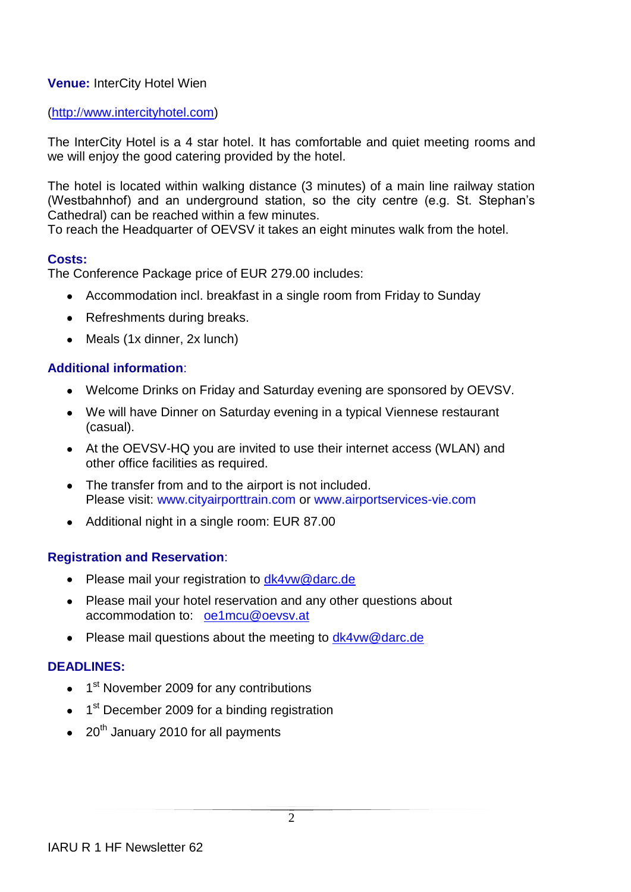# **Venue:** InterCity Hotel Wien

#### (http://[www.intercityhotel.com\)](http://www.intercityhotel.com/)

The InterCity Hotel is a 4 star hotel. It has comfortable and quiet meeting rooms and we will enjoy the good catering provided by the hotel.

The hotel is located within walking distance (3 minutes) of a main line railway station (Westbahnhof) and an underground station, so the city centre (e.g. St. Stephan's Cathedral) can be reached within a few minutes.

To reach the Headquarter of OEVSV it takes an eight minutes walk from the hotel.

## **Costs:**

The Conference Package price of EUR 279.00 includes:

- Accommodation incl. breakfast in a single room from Friday to Sunday
- Refreshments during breaks.
- Meals (1x dinner, 2x lunch)

#### **Additional information**:

- Welcome Drinks on Friday and Saturday evening are sponsored by OEVSV.
- We will have Dinner on Saturday evening in a typical Viennese restaurant (casual).
- At the OEVSV-HQ you are invited to use their internet access (WLAN) and other office facilities as required.
- The transfer from and to the airport is not included. Please visit: [www.cityairporttrain.com](http://www.cityairporttrain.com/) or [www.airportservices-vie.com](http://www.airportservices-vie.com/)
- Additional night in a single room: EUR 87.00

## **Registration and Reservation**:

- Please mail your registration to dk4yw@darc.de
- Please mail your hotel reservation and any other questions about accommodation to: [oe1mcu@oevsv.at](mailto:oe1mcu@oevsv.at)
- Please mail questions about the meeting to [dk4vw@darc.de](mailto:dk4vw@darc.de)

## **DEADLINES:**

- 1<sup>st</sup> November 2009 for any contributions
- 1<sup>st</sup> December 2009 for a binding registration
- $\bullet$  20<sup>th</sup> January 2010 for all payments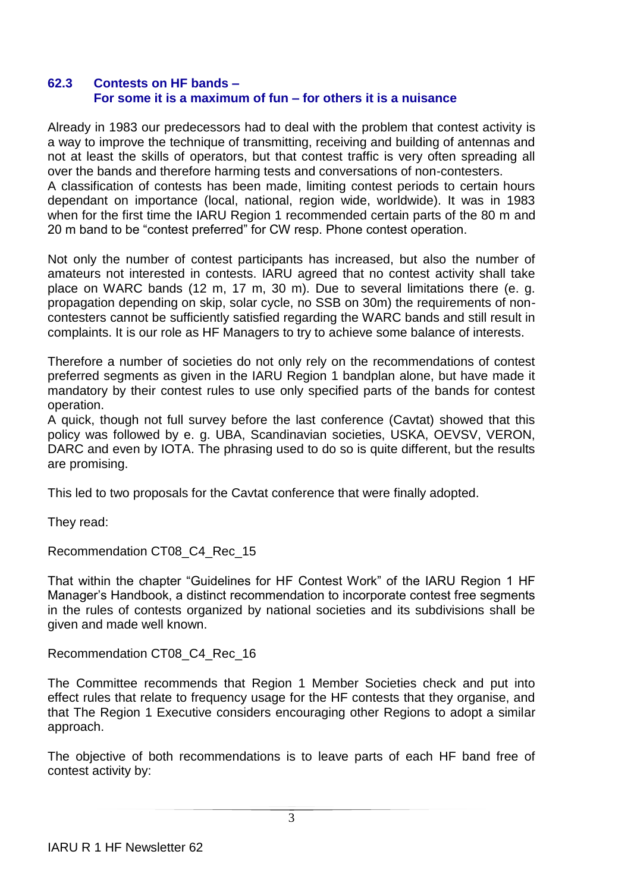#### **62.3 Contests on HF bands – For some it is a maximum of fun – for others it is a nuisance**

Already in 1983 our predecessors had to deal with the problem that contest activity is a way to improve the technique of transmitting, receiving and building of antennas and not at least the skills of operators, but that contest traffic is very often spreading all over the bands and therefore harming tests and conversations of non-contesters. A classification of contests has been made, limiting contest periods to certain hours dependant on importance (local, national, region wide, worldwide). It was in 1983 when for the first time the IARU Region 1 recommended certain parts of the 80 m and 20 m band to be "contest preferred" for CW resp. Phone contest operation.

Not only the number of contest participants has increased, but also the number of amateurs not interested in contests. IARU agreed that no contest activity shall take place on WARC bands (12 m, 17 m, 30 m). Due to several limitations there (e. g. propagation depending on skip, solar cycle, no SSB on 30m) the requirements of noncontesters cannot be sufficiently satisfied regarding the WARC bands and still result in complaints. It is our role as HF Managers to try to achieve some balance of interests.

Therefore a number of societies do not only rely on the recommendations of contest preferred segments as given in the IARU Region 1 bandplan alone, but have made it mandatory by their contest rules to use only specified parts of the bands for contest operation.

A quick, though not full survey before the last conference (Cavtat) showed that this policy was followed by e. g. UBA, Scandinavian societies, USKA, OEVSV, VERON, DARC and even by IOTA. The phrasing used to do so is quite different, but the results are promising.

This led to two proposals for the Cavtat conference that were finally adopted.

They read:

Recommendation CT08\_C4\_Rec\_15

That within the chapter "Guidelines for HF Contest Work" of the IARU Region 1 HF Manager's Handbook, a distinct recommendation to incorporate contest free segments in the rules of contests organized by national societies and its subdivisions shall be given and made well known.

Recommendation CT08\_C4\_Rec\_16

The Committee recommends that Region 1 Member Societies check and put into effect rules that relate to frequency usage for the HF contests that they organise, and that The Region 1 Executive considers encouraging other Regions to adopt a similar approach.

The objective of both recommendations is to leave parts of each HF band free of contest activity by: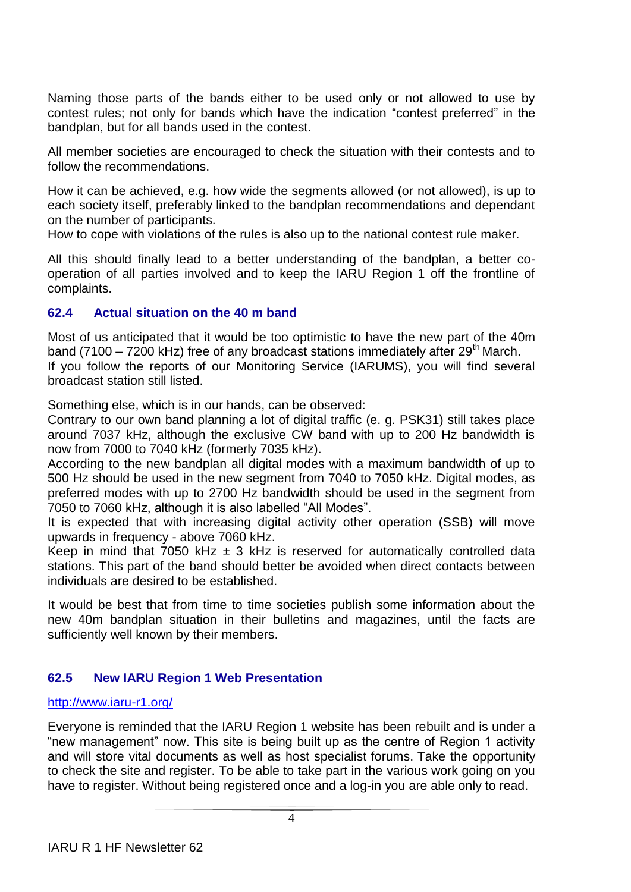Naming those parts of the bands either to be used only or not allowed to use by contest rules; not only for bands which have the indication "contest preferred" in the bandplan, but for all bands used in the contest.

All member societies are encouraged to check the situation with their contests and to follow the recommendations.

How it can be achieved, e.g. how wide the segments allowed (or not allowed), is up to each society itself, preferably linked to the bandplan recommendations and dependant on the number of participants.

How to cope with violations of the rules is also up to the national contest rule maker.

All this should finally lead to a better understanding of the bandplan, a better cooperation of all parties involved and to keep the IARU Region 1 off the frontline of complaints.

#### **62.4 Actual situation on the 40 m band**

Most of us anticipated that it would be too optimistic to have the new part of the 40m band (7100 – 7200 kHz) free of any broadcast stations immediately after  $29<sup>th</sup>$  March. If you follow the reports of our Monitoring Service (IARUMS), you will find several broadcast station still listed.

Something else, which is in our hands, can be observed:

Contrary to our own band planning a lot of digital traffic (e. g. PSK31) still takes place around 7037 kHz, although the exclusive CW band with up to 200 Hz bandwidth is now from 7000 to 7040 kHz (formerly 7035 kHz).

According to the new bandplan all digital modes with a maximum bandwidth of up to 500 Hz should be used in the new segment from 7040 to 7050 kHz. Digital modes, as preferred modes with up to 2700 Hz bandwidth should be used in the segment from 7050 to 7060 kHz, although it is also labelled "All Modes".

It is expected that with increasing digital activity other operation (SSB) will move upwards in frequency - above 7060 kHz.

Keep in mind that 7050 kHz  $\pm$  3 kHz is reserved for automatically controlled data stations. This part of the band should better be avoided when direct contacts between individuals are desired to be established.

It would be best that from time to time societies publish some information about the new 40m bandplan situation in their bulletins and magazines, until the facts are sufficiently well known by their members.

## **62.5 New IARU Region 1 Web Presentation**

#### <http://www.iaru-r1.org/>

Everyone is reminded that the IARU Region 1 website has been rebuilt and is under a "new management" now. This site is being built up as the centre of Region 1 activity and will store vital documents as well as host specialist forums. Take the opportunity to check the site and register. To be able to take part in the various work going on you have to register. Without being registered once and a log-in you are able only to read.